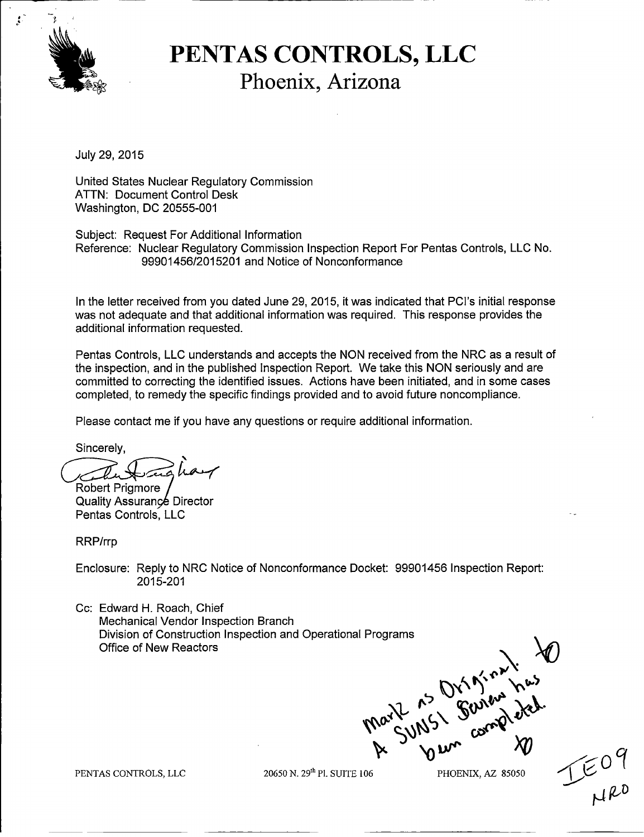

### .1& **PENTAS CONTROLS, LLC Phoenix, Arizona**

July 29, 2015

United States Nuclear Regulatory Commission ATTN: Document Control Desk Washington, DC 20555-001

Subject: Request For Additional Information Reference: Nuclear Regulatory Commission Inspection Report For Pentas Controls, LLC No. 99901456/201 5201 and Notice of Nonconformance

In the letter received from you dated June 29, 2015, it was indicated that PCI's initial response was not adequate and that additional information was required. This response provides the additional information requested.

Pentas Controls, LLC understands and accepts the NON received from the NRC as a result of the inspection, and in the published Inspection Report. We take this NON seriously and are committed to correcting the identified issues. Actions have been initiated, and in some cases completed, to remedy the specific findings provided and to avoid future noncompliance.

Please contact me if you have any questions or require additional information.

Sincerely,

Robert Prigmore

Quality Assurance Director<br>Pentas Controls, LLC

RRP/rrp

Enclosure: Reply to NRC Notice of Nonconformance Docket: 99901456 Inspection Report: 2015-201

Cc: Edward H. Roach, Chief Mechanical Vendor Inspection Branch Division of Construction Inspection and Operational Programs Division of Construction Inspection and Operational Programs

PENTAS CONTROLS, LLC 20650 N. 29th P1. SUITE 106 PHOENIX, AZ 85050

 $E_{\text{L}}^{\text{U}}$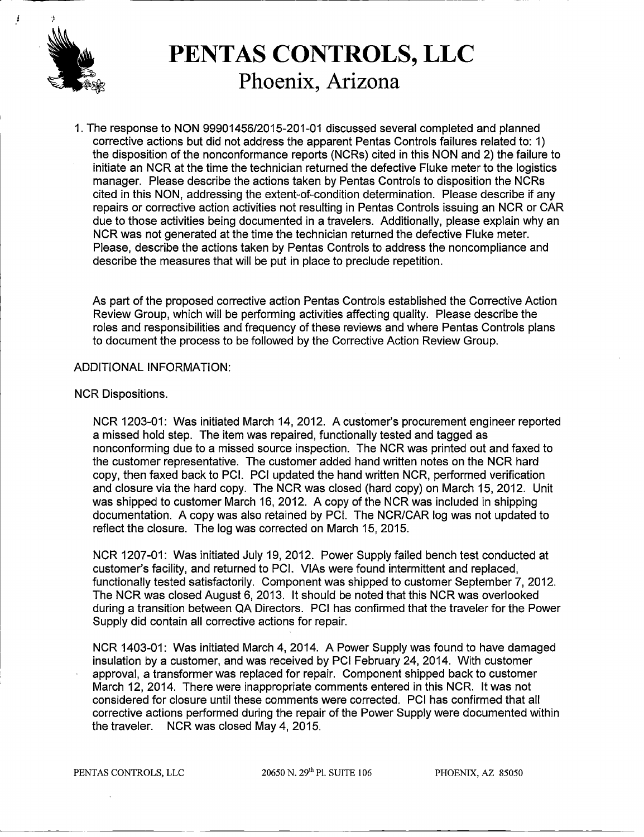

### **~PENTAS CONTROLS, LLC Phoenix, Arizona**

*1.* The response to NON *99901456/2015-201-0 1* discussed several completed and planned corrective actions but did not address the apparent Pentas Controls failures related to: 1) the disposition of the nonconformance reports (NCRs) cited in this NON and 2) the failure to initiate an NCR at the time the technician returned the defective Fluke meter to the logistics manager. Please describe the actions taken by Pentas Controls to disposition the NCRs cited in this NON, addressing the extent-of-condition determination. Please describe if any repairs or corrective action activities not resulting in Pentas Controls issuing an NCR or CAR due to those activities being documented in a travelers. Additionally, please explain why an NCR was not generated at the time the technician returned the defective Fluke meter. Please, describe the actions taken by Pentas Controls to address the noncompliance and describe the measures that will be put in place to preclude repetition.

As part of the proposed corrective action Pentas Controls established the Corrective Action Review Group, which will be performing activities affecting quality. Please describe the roles and responsibilities and frequency of these reviews and where Pentas Controls plans to document the process to be followed by the Corrective Action Review Group.

#### ADDITIONAL INFORMATION:

#### NCR Dispositions.

NCR 1203-01: Was initiated March *14,* 2012. A customer's procurement engineer reported a missed hold step. The item was repaired, functionally tested and tagged as nonconforming due to a missed source inspection. The NCR was printed out and faxed to the customer representative. The customer added hand written notes on the NCR hard copy, then faxed back to PCI. PCI updated the hand written NCR, performed verification and closure via the hard copy. The NCR was closed (hard copy) on March 15, 2012. Unit was shipped to customer March 16, 2012. A copy of the NCR was included in shipping documentation. A copy was also retained by PCI. The NCR/CAR log was not updated to reflect the closure. The log was corrected on March 15, 2015.

NCR 1207-01: Was initiated July 19, 2012. Power Supply failed bench test conducted at customer's facility, and returned to PCI. VIAs were found intermittent and replaced, functionally tested satisfactorily. Component was shipped to customer September 7, 2012. The NCR was closed August 6, 2013. It should be noted that this NCR was overlooked during a transition between QA Directors. PCI has confirmed that the traveler for the Power Supply did contain all corrective actions for repair.

NCR 1403-01: Was initiated March 4, *2014.* A Power Supply was found to have damaged insulation by a customer, and was received by PCI February 24, 2014. With customer approval, a transformer was replaced for repair. Component shipped back to customer March 12, 2014. There were inappropriate comments entered in this NCR. It was not considered for closure until these comments were corrected. PCI has confirmed that all corrective actions performed during the repair of the Power Supply were documented within the traveler. NCR was closed May 4, 2015.

 $20650$  N.  $29<sup>th</sup>$  Pl. SUITE 106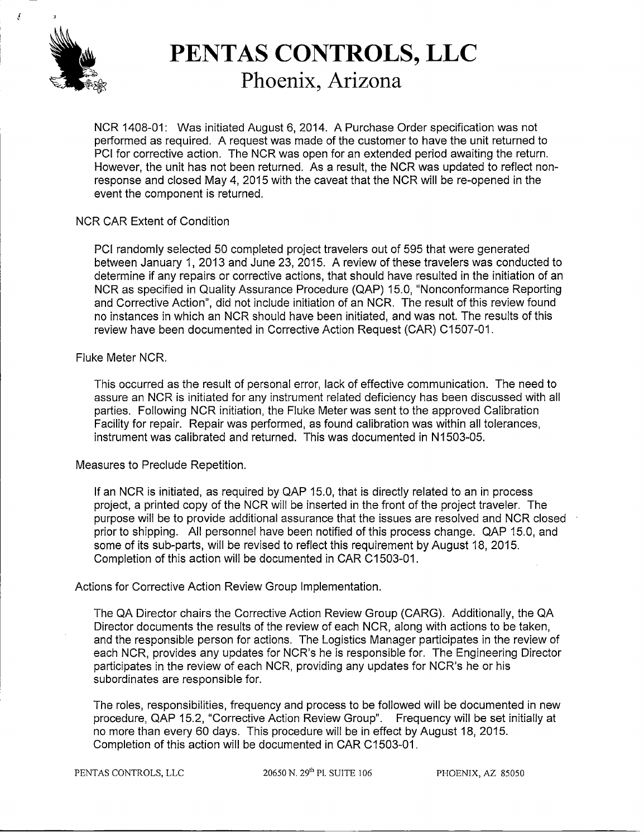

**t**

## **PENTAS CONTROLS, LLC**<br>Phoenix, Arizona

NCR 1408-01: Was initiated August 6, 2014. A Purchase Order specification was not performed as required. A request was made of the customer to have the unit returned to PCI for corrective action. The NCR was open for an extended period awaiting the return. However, the unit has not been returned. As a result, the NCR was updated to reflect nonresponse and closed May 4, 2015 with the caveat that the NCR will be re-opened in the event the component is returned.

#### NCR CAR Extent of Condition

PCI randomly selected 50 completed project travelers out of 595 that were generated between January 1, 2013 and June 23, 2015. A review of these travelers was conducted to determine if any repairs or corrective actions, that should have resulted in the initiation of an NCR as specified in Quality Assurance Procedure (QAP) 15.0, "Nonconformance Reporting and Corrective Action", did not include initiation of an NCR. The result of this review found no instances in which an NCR should have been initiated, and was not. The results of this review have been documented in Corrective Action Request (CAR) C1507-01.

#### Fluke Meter NCR.

This occurred as the result of personal error, lack of effective communication. The need to assure an NCR is initiated for any instrument related deficiency has been discussed with all parties. Following NCR initiation, the Fluke Meter was sent to the approved Calibration Facility for repair. Repair was performed, as found calibration was within all tolerances, instrument was calibrated and returned. This was documented in N1503-05.

Measures to Preclude Repetition.

If an NCR is initiated, as required by QAP 15.0, that is directly related to an in process project, a printed copy of the NCR will be inserted in the front of the project traveler. The purpose will be to provide additional assurance that the issues are resolved and NCR closed prior to shipping. All personnel have been notified of this process change. QAP 15.0, and some of its sub-parts, will be revised to reflect this requirement by August 18, 2015. Completion of this action will be documented in CAR C1503-01.

#### Actions for Corrective Action Review Group Implementation.

The QA Director chairs the Corrective Action Review Group (CARG). Additionally, the QA Director documents the results of the review of each NCR, along with actions to be taken, and the responsible person for actions. The Logistics Manager participates in the review of each NCR, provides any updates for NCR's he is responsible for. The Engineering Director participates in the review of each NCR, providing any updates for NCR's he or his subordinates are responsible for.

The roles, responsibilities, frequency and process to be followed will be documented in new procedure, QAP 15.2, "Corrective Action Review Group". Frequency will be set initially at no more than every 60 days. This procedure will be in effect by August 18, 2015. Completion of this action will be documented in CAR C1503-01.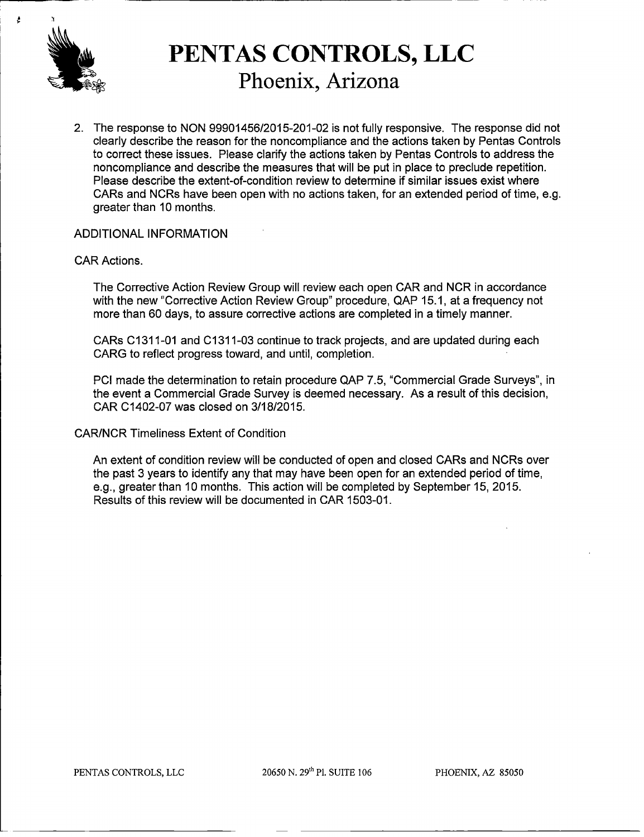

# **PENTAS CONTROLS, LLC**<br>Phoenix, Arizona

2. The response to NON 99901456/2015-201-02 is not fully responsive. The response did not clearly describe the reason for the noncompliance and the actions taken by Pentas Controls to correct these issues. Please clarify the actions taken by Pentas Controls to address the noncompliance and describe the measures that will be put in place to preclude repetition. Please describe the extent-of-condition review to determine if similar issues exist where CARs and NCRs have been open with no actions taken, for an extended period of time, e.g. greater than 10 months.

#### ADDITIONAL INFORMATION

#### CAR Actions.

The Corrective Action Review Group will review each open CAR and NCR in accordance with the new "Corrective Action Review Group" procedure, QAP 15.1, at a frequency not more than 60 days, to assure corrective actions are completed in a timely manner.

CARs C131 1-01 and C131 1-03 continue to track projects, and are updated during each CARG to reflect progress toward, and until, completion.

PCI made the determination to retain procedure QAP 7.5, "Commercial Grade Surveys", in the event a Commercial Grade Survey is deemed necessary. As a result of this decision, CAR C1402-07 was closed on 3/18/2015.

CAR/NCR Timeliness Extent of Condition

An extent of condition review will be conducted of open and closed CARs and NCRs over the past 3 years to identify any that may have been open for an extended period of time, e.g., greater than 10 months. This action will be completed by September 15, 2015. Results of this review will be documented in CAR 1503-01.

PENTAS CONTROLS, LLC

20650 N. 29<sup>th</sup> Pl. SUITE 106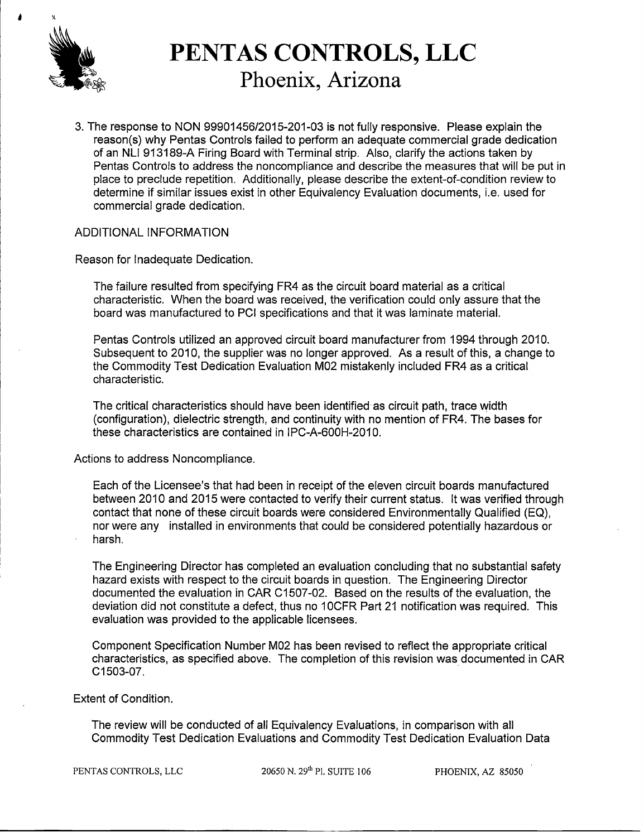

## **PENTAS CONTROLS, LLC**<br>Phoenix, Arizona

3. The response to NON 99901456/2015-201-03 is not fully responsive. Please explain the reason(s) why Pentas Controls failed to perform an adequate commercial grade dedication of an NLI 913189-A Firing Board with Terminal strip. Also, clarify the actions taken by Pentas Controls to address the noncompliance and describe the measures that will be put in place to preclude repetition. Additionally, please describe the extent-of-condition review to determine if similar issues exist in other Equivalency Evaluation documents, i.e. used for commercial grade dedication.

#### ADDITIONAL INFORMATION

Reason for Inadequate Dedication.

The failure resulted from specifying FR4 as the circuit board material as a critical characteristic. When the board was received, the verification could only assure that the board was manufactured to PCI specifications and that it was laminate material.

Pentas Controls utilized an approved circuit board manufacturer from 1994 through 2010. Subsequent to 2010, the supplier was no longer approved. As a result of this, a change to the Commodity Test Dedication Evaluation M02 mistakenly included FR4 as a critical characteristic.

The critical characteristics should have been identified as circuit path, trace width (configuration), dielectric strength, and continuity with no mention of FR4. The bases for these characteristics are contained in IPC-A-600H-2010.

Actions to address Noncompliance.

Each of the Licensee's that had been in receipt of the eleven circuit boards manufactured between 2010 and 2015 were contacted to verify their current status. It was verified through contact that none of these circuit boards were considered Environmentally Qualified (EQ), nor were any installed in environments that could be considered potentially hazardous or harsh.

The Engineering Director has completed an evaluation concluding that no substantial safety hazard exists with respect to the circuit boards in question. The Engineering Director documented the evaluation in CAR C1507-02. Based on the results of the evaluation, the deviation did not constitute a defect, thus no 10CFR Part 21 notification was required. This evaluation was provided to the applicable licensees.

Component Specification Number M02 has been revised to reflect the appropriate critical characteristics, as specified above. The completion of this revision was documented in CAR C 1503-07.

Extent of Condition.

The review will be conducted of all Equivalency Evaluations, in comparison with all Commodity Test Dedication Evaluations and Commodity Test Dedication Evaluation Data

PENTAS CONTROLS, LLC

20650 N. 29<sup>th</sup> Pl. SUITE 106